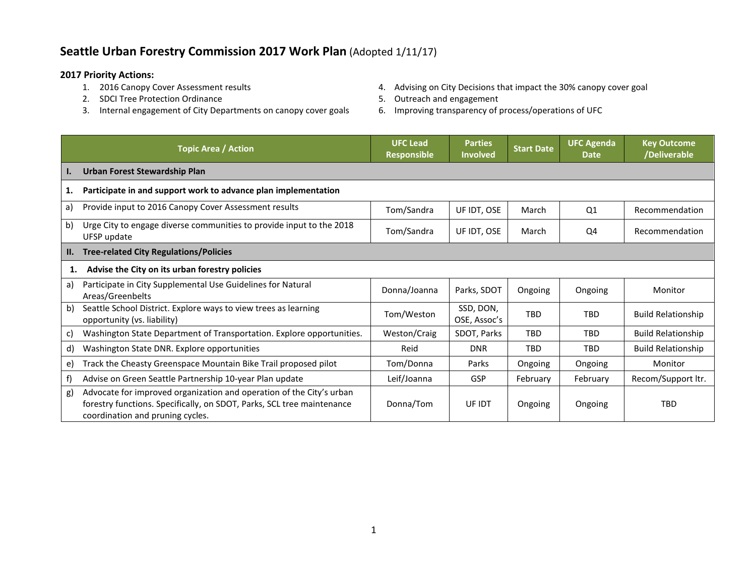## **Seattle Urban Forestry Commission 2017 Work Plan** (Adopted 1/11/17)

- **2017 Priority Actions:**
	- 2. SDCI Tree Protection Ordinance and Equipment of the Section 4 of the Section 4 of the Section 4 of the Section 4 of the Section 4 of the Section 4 of the Section 4 of the Section 4 of the Section 4 of the Section 4 of t
	- 3. Internal engagement of City Departments on canopy cover goals 6. Improving transparency of process/operations of UFC
- 4. Advising on City Decisions that impact the 30% canopy cover goal
- -

|                 | <b>Topic Area / Action</b>                                                                                                                                                         | <b>UFC Lead</b><br><b>Responsible</b> | <b>Parties</b><br><b>Involved</b> | <b>Start Date</b> | <b>UFC Agenda</b><br><b>Date</b> | <b>Key Outcome</b><br>/Deliverable |
|-----------------|------------------------------------------------------------------------------------------------------------------------------------------------------------------------------------|---------------------------------------|-----------------------------------|-------------------|----------------------------------|------------------------------------|
| $\mathbf{I}$ .  | Urban Forest Stewardship Plan                                                                                                                                                      |                                       |                                   |                   |                                  |                                    |
| 1.              | Participate in and support work to advance plan implementation                                                                                                                     |                                       |                                   |                   |                                  |                                    |
| a)              | Provide input to 2016 Canopy Cover Assessment results                                                                                                                              | Tom/Sandra                            | UF IDT, OSE                       | March             | Q1                               | Recommendation                     |
| b)              | Urge City to engage diverse communities to provide input to the 2018<br>UFSP update                                                                                                | Tom/Sandra                            | UF IDT, OSE                       | March             | Q4                               | Recommendation                     |
| $\mathbf{II}$ . | <b>Tree-related City Regulations/Policies</b>                                                                                                                                      |                                       |                                   |                   |                                  |                                    |
| 1.              | Advise the City on its urban forestry policies                                                                                                                                     |                                       |                                   |                   |                                  |                                    |
| a)              | Participate in City Supplemental Use Guidelines for Natural<br>Areas/Greenbelts                                                                                                    | Donna/Joanna                          | Parks, SDOT                       | Ongoing           | Ongoing                          | Monitor                            |
| b)              | Seattle School District. Explore ways to view trees as learning<br>opportunity (vs. liability)                                                                                     | Tom/Weston                            | SSD, DON,<br>OSE, Assoc's         | <b>TBD</b>        | <b>TBD</b>                       | <b>Build Relationship</b>          |
| C)              | Washington State Department of Transportation. Explore opportunities.                                                                                                              | Weston/Craig                          | SDOT, Parks                       | <b>TBD</b>        | <b>TBD</b>                       | <b>Build Relationship</b>          |
| d)              | Washington State DNR. Explore opportunities                                                                                                                                        | Reid                                  | <b>DNR</b>                        | <b>TBD</b>        | <b>TBD</b>                       | <b>Build Relationship</b>          |
| e)              | Track the Cheasty Greenspace Mountain Bike Trail proposed pilot                                                                                                                    | Tom/Donna                             | Parks                             | Ongoing           | Ongoing                          | Monitor                            |
| f)              | Advise on Green Seattle Partnership 10-year Plan update                                                                                                                            | Leif/Joanna                           | GSP                               | February          | February                         | Recom/Support ltr.                 |
| g)              | Advocate for improved organization and operation of the City's urban<br>forestry functions. Specifically, on SDOT, Parks, SCL tree maintenance<br>coordination and pruning cycles. | Donna/Tom                             | UF IDT                            | Ongoing           | Ongoing                          | <b>TBD</b>                         |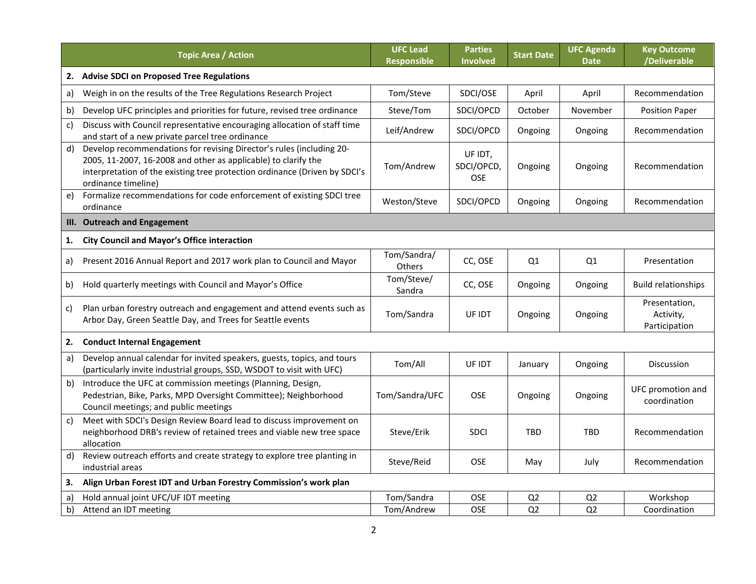|    | <b>Topic Area / Action</b>                                                                                                                                                                                                                  | <b>UFC Lead</b><br><b>Responsible</b> | <b>Parties</b><br>Involved   | <b>Start Date</b> | <b>UFC Agenda</b><br><b>Date</b> | <b>Key Outcome</b><br>/Deliverable          |
|----|---------------------------------------------------------------------------------------------------------------------------------------------------------------------------------------------------------------------------------------------|---------------------------------------|------------------------------|-------------------|----------------------------------|---------------------------------------------|
| 2. | <b>Advise SDCI on Proposed Tree Regulations</b>                                                                                                                                                                                             |                                       |                              |                   |                                  |                                             |
| a) | Weigh in on the results of the Tree Regulations Research Project                                                                                                                                                                            | Tom/Steve                             | SDCI/OSE                     | April             | April                            | Recommendation                              |
| b) | Develop UFC principles and priorities for future, revised tree ordinance                                                                                                                                                                    | Steve/Tom                             | SDCI/OPCD                    | October           | November                         | <b>Position Paper</b>                       |
| c) | Discuss with Council representative encouraging allocation of staff time<br>and start of a new private parcel tree ordinance                                                                                                                | Leif/Andrew                           | SDCI/OPCD                    | Ongoing           | Ongoing                          | Recommendation                              |
| d) | Develop recommendations for revising Director's rules (including 20-<br>2005, 11-2007, 16-2008 and other as applicable) to clarify the<br>interpretation of the existing tree protection ordinance (Driven by SDCI's<br>ordinance timeline) | Tom/Andrew                            | UF IDT,<br>SDCI/OPCD,<br>OSE | Ongoing           | Ongoing                          | Recommendation                              |
| e) | Formalize recommendations for code enforcement of existing SDCI tree<br>ordinance                                                                                                                                                           | Weston/Steve                          | SDCI/OPCD                    | Ongoing           | Ongoing                          | Recommendation                              |
| Ш. | <b>Outreach and Engagement</b>                                                                                                                                                                                                              |                                       |                              |                   |                                  |                                             |
| 1. | <b>City Council and Mayor's Office interaction</b>                                                                                                                                                                                          |                                       |                              |                   |                                  |                                             |
| a) | Present 2016 Annual Report and 2017 work plan to Council and Mayor                                                                                                                                                                          | Tom/Sandra/<br>Others                 | CC, OSE                      | Q1                | Q <sub>1</sub>                   | Presentation                                |
| b) | Hold quarterly meetings with Council and Mayor's Office                                                                                                                                                                                     | Tom/Steve/<br>Sandra                  | CC, OSE                      | Ongoing           | Ongoing                          | <b>Build relationships</b>                  |
| C) | Plan urban forestry outreach and engagement and attend events such as<br>Arbor Day, Green Seattle Day, and Trees for Seattle events                                                                                                         | Tom/Sandra                            | UF IDT                       | Ongoing           | Ongoing                          | Presentation,<br>Activity,<br>Participation |
| 2. | <b>Conduct Internal Engagement</b>                                                                                                                                                                                                          |                                       |                              |                   |                                  |                                             |
| a) | Develop annual calendar for invited speakers, guests, topics, and tours<br>(particularly invite industrial groups, SSD, WSDOT to visit with UFC)                                                                                            | Tom/All                               | UF IDT                       | January           | Ongoing                          | Discussion                                  |
| b) | Introduce the UFC at commission meetings (Planning, Design,<br>Pedestrian, Bike, Parks, MPD Oversight Committee); Neighborhood<br>Council meetings; and public meetings                                                                     | Tom/Sandra/UFC                        | <b>OSE</b>                   | Ongoing           | Ongoing                          | UFC promotion and<br>coordination           |
| c) | Meet with SDCI's Design Review Board lead to discuss improvement on<br>neighborhood DRB's review of retained trees and viable new tree space<br>allocation                                                                                  | Steve/Erik                            | <b>SDCI</b>                  | <b>TBD</b>        | <b>TBD</b>                       | Recommendation                              |
| d) | Review outreach efforts and create strategy to explore tree planting in<br>industrial areas                                                                                                                                                 | Steve/Reid                            | <b>OSE</b>                   | May               | July                             | Recommendation                              |
| 3. | Align Urban Forest IDT and Urban Forestry Commission's work plan                                                                                                                                                                            |                                       |                              |                   |                                  |                                             |
| a) | Hold annual joint UFC/UF IDT meeting                                                                                                                                                                                                        | Tom/Sandra                            | <b>OSE</b>                   | Q <sub>2</sub>    | Q <sub>2</sub>                   | Workshop                                    |
| b) | Attend an IDT meeting                                                                                                                                                                                                                       | Tom/Andrew                            | <b>OSE</b>                   | Q <sub>2</sub>    | Q <sub>2</sub>                   | Coordination                                |